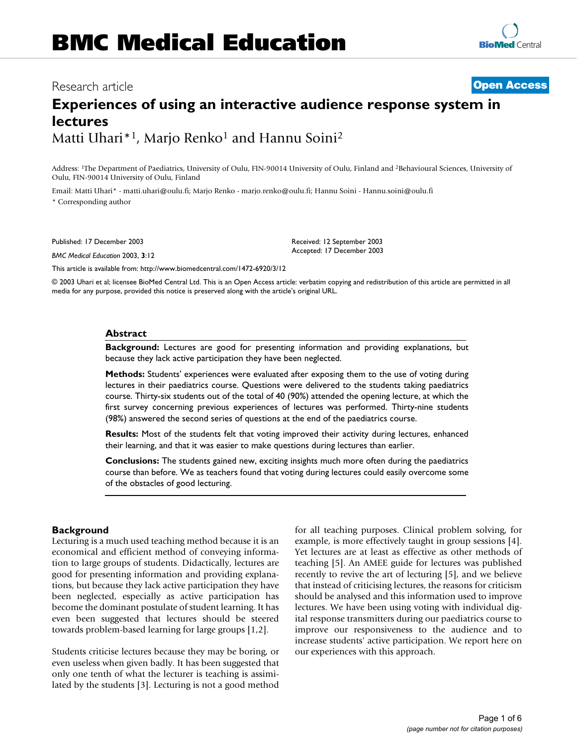# Research article **[Open Access](http://www.biomedcentral.com/info/about/charter/)**

# **Experiences of using an interactive audience response system in lectures** Matti Uhari\*<sup>1</sup>, Marjo Renko<sup>1</sup> and Hannu Soini<sup>2</sup>

Address: 1The Department of Paediatrics, University of Oulu, FIN-90014 University of Oulu, Finland and 2Behavioural Sciences, University of Oulu, FIN-90014 University of Oulu, Finland

Email: Matti Uhari\* - matti.uhari@oulu.fi; Marjo Renko - marjo.renko@oulu.fi; Hannu Soini - Hannu.soini@oulu.fi \* Corresponding author

Published: 17 December 2003

*BMC Medical Education* 2003, **3**:12

[This article is available from: http://www.biomedcentral.com/1472-6920/3/12](http://www.biomedcentral.com/1472-6920/3/12)

© 2003 Uhari et al; licensee BioMed Central Ltd. This is an Open Access article: verbatim copying and redistribution of this article are permitted in all media for any purpose, provided this notice is preserved along with the article's original URL.

Received: 12 September 2003 Accepted: 17 December 2003

#### **Abstract**

**Background:** Lectures are good for presenting information and providing explanations, but because they lack active participation they have been neglected.

**Methods:** Students' experiences were evaluated after exposing them to the use of voting during lectures in their paediatrics course. Questions were delivered to the students taking paediatrics course. Thirty-six students out of the total of 40 (90%) attended the opening lecture, at which the first survey concerning previous experiences of lectures was performed. Thirty-nine students (98%) answered the second series of questions at the end of the paediatrics course.

**Results:** Most of the students felt that voting improved their activity during lectures, enhanced their learning, and that it was easier to make questions during lectures than earlier.

**Conclusions:** The students gained new, exciting insights much more often during the paediatrics course than before. We as teachers found that voting during lectures could easily overcome some of the obstacles of good lecturing.

## **Background**

Lecturing is a much used teaching method because it is an economical and efficient method of conveying information to large groups of students. Didactically, lectures are good for presenting information and providing explanations, but because they lack active participation they have been neglected, especially as active participation has become the dominant postulate of student learning. It has even been suggested that lectures should be steered towards problem-based learning for large groups [1,2].

Students criticise lectures because they may be boring, or even useless when given badly. It has been suggested that only one tenth of what the lecturer is teaching is assimilated by the students [3]. Lecturing is not a good method for all teaching purposes. Clinical problem solving, for example, is more effectively taught in group sessions [4]. Yet lectures are at least as effective as other methods of teaching [5]. An AMEE guide for lectures was published recently to revive the art of lecturing [5], and we believe that instead of criticising lectures, the reasons for criticism should be analysed and this information used to improve lectures. We have been using voting with individual digital response transmitters during our paediatrics course to improve our responsiveness to the audience and to increase students' active participation. We report here on our experiences with this approach.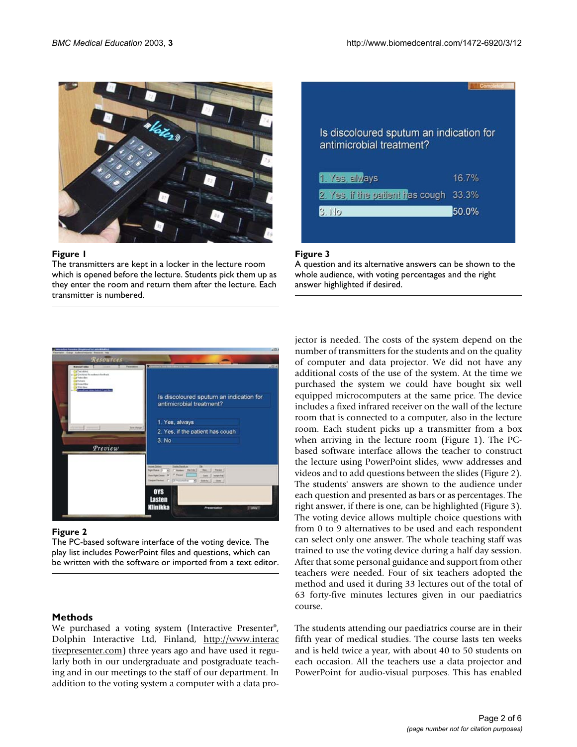

## Figure 1

The transmitters are kept in a locker in the lecture room which is opened before the lecture. Students pick them up as they enter the room and return them after the lecture. Each transmitter is numbered.



## Figure 3

A question and its alternative answers can be shown to the whole audience, with voting percentages and the right answer highlighted if desired.



## Figure 2

The PC-based software interface of the voting device. The play list includes PowerPoint files and questions, which can be written with the software or imported from a text editor.

# **Methods**

We purchased a voting system (Interactive Presenter®, Dolphin Interactive Ltd, Finland, [http://www.interac](http://www.interactivepresenter.com) [tivepresenter.com\)](http://www.interactivepresenter.com) three years ago and have used it regularly both in our undergraduate and postgraduate teaching and in our meetings to the staff of our department. In addition to the voting system a computer with a data projector is needed. The costs of the system depend on the number of transmitters for the students and on the quality of computer and data projector. We did not have any additional costs of the use of the system. At the time we purchased the system we could have bought six well equipped microcomputers at the same price. The device includes a fixed infrared receiver on the wall of the lecture room that is connected to a computer, also in the lecture room. Each student picks up a transmitter from a box when arriving in the lecture room (Figure 1). The PCbased software interface allows the teacher to construct the lecture using PowerPoint slides, www addresses and videos and to add questions between the slides (Figure 2). The students' answers are shown to the audience under each question and presented as bars or as percentages. The right answer, if there is one, can be highlighted (Figure 3). The voting device allows multiple choice questions with from 0 to 9 alternatives to be used and each respondent can select only one answer. The whole teaching staff was trained to use the voting device during a half day session. After that some personal guidance and support from other teachers were needed. Four of six teachers adopted the method and used it during 33 lectures out of the total of 63 forty-five minutes lectures given in our paediatrics course.

The students attending our paediatrics course are in their fifth year of medical studies. The course lasts ten weeks and is held twice a year, with about 40 to 50 students on each occasion. All the teachers use a data projector and PowerPoint for audio-visual purposes. This has enabled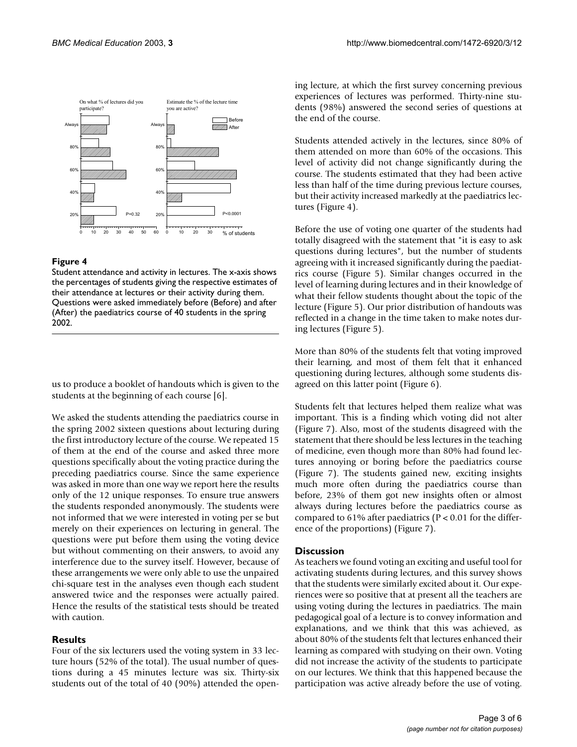

## **Figure 4**

Student attendance and activity in lectures. The x-axis shows the percentages of students giving the respective estimates of their attendance at lectures or their activity during them. Questions were asked immediately before (Before) and after (After) the paediatrics course of 40 students in the spring 2002.

us to produce a booklet of handouts which is given to the students at the beginning of each course [6].

We asked the students attending the paediatrics course in the spring 2002 sixteen questions about lecturing during the first introductory lecture of the course. We repeated 15 of them at the end of the course and asked three more questions specifically about the voting practice during the preceding paediatrics course. Since the same experience was asked in more than one way we report here the results only of the 12 unique responses. To ensure true answers the students responded anonymously. The students were not informed that we were interested in voting per se but merely on their experiences on lecturing in general. The questions were put before them using the voting device but without commenting on their answers, to avoid any interference due to the survey itself. However, because of these arrangements we were only able to use the unpaired chi-square test in the analyses even though each student answered twice and the responses were actually paired. Hence the results of the statistical tests should be treated with caution.

## **Results**

Four of the six lecturers used the voting system in 33 lecture hours (52% of the total). The usual number of questions during a 45 minutes lecture was six. Thirty-six students out of the total of 40 (90%) attended the opening lecture, at which the first survey concerning previous experiences of lectures was performed. Thirty-nine students (98%) answered the second series of questions at the end of the course.

Students attended actively in the lectures, since 80% of them attended on more than 60% of the occasions. This level of activity did not change significantly during the course. The students estimated that they had been active less than half of the time during previous lecture courses, but their activity increased markedly at the paediatrics lectures (Figure 4).

Before the use of voting one quarter of the students had totally disagreed with the statement that "it is easy to ask questions during lectures", but the number of students agreeing with it increased significantly during the paediatrics course (Figure 5). Similar changes occurred in the level of learning during lectures and in their knowledge of what their fellow students thought about the topic of the lecture (Figure 5). Our prior distribution of handouts was reflected in a change in the time taken to make notes during lectures (Figure 5).

More than 80% of the students felt that voting improved their learning, and most of them felt that it enhanced questioning during lectures, although some students disagreed on this latter point (Figure 6).

Students felt that lectures helped them realize what was important. This is a finding which voting did not alter (Figure 7). Also, most of the students disagreed with the statement that there should be less lectures in the teaching of medicine, even though more than 80% had found lectures annoying or boring before the paediatrics course (Figure 7). The students gained new, exciting insights much more often during the paediatrics course than before, 23% of them got new insights often or almost always during lectures before the paediatrics course as compared to 61% after paediatrics ( $P < 0.01$  for the difference of the proportions) (Figure 7).

## **Discussion**

As teachers we found voting an exciting and useful tool for activating students during lectures, and this survey shows that the students were similarly excited about it. Our experiences were so positive that at present all the teachers are using voting during the lectures in paediatrics. The main pedagogical goal of a lecture is to convey information and explanations, and we think that this was achieved, as about 80% of the students felt that lectures enhanced their learning as compared with studying on their own. Voting did not increase the activity of the students to participate on our lectures. We think that this happened because the participation was active already before the use of voting.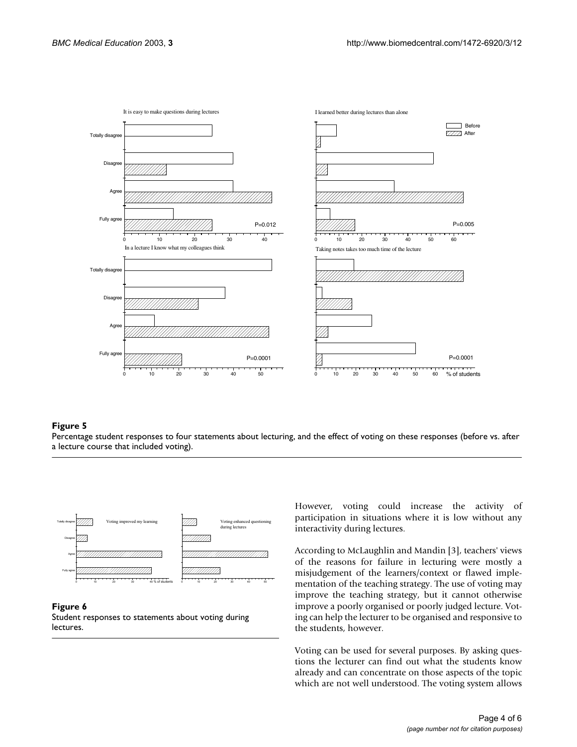

## Percentage student responses to four statements about lecturing, a lecture course that included voting) **Figure 5** and the effect of voting on these responses (before vs. after

Percentage student responses to four statements about lecturing, and the effect of voting on these responses (before vs. after a lecture course that included voting).



#### **Figure 6**

Student responses to statements about voting during lectures.

However, voting could increase the activity of participation in situations where it is low without any interactivity during lectures.

According to McLaughlin and Mandin [3], teachers' views of the reasons for failure in lecturing were mostly a misjudgement of the learners/context or flawed implementation of the teaching strategy. The use of voting may improve the teaching strategy, but it cannot otherwise improve a poorly organised or poorly judged lecture. Voting can help the lecturer to be organised and responsive to the students, however.

Voting can be used for several purposes. By asking questions the lecturer can find out what the students know already and can concentrate on those aspects of the topic which are not well understood. The voting system allows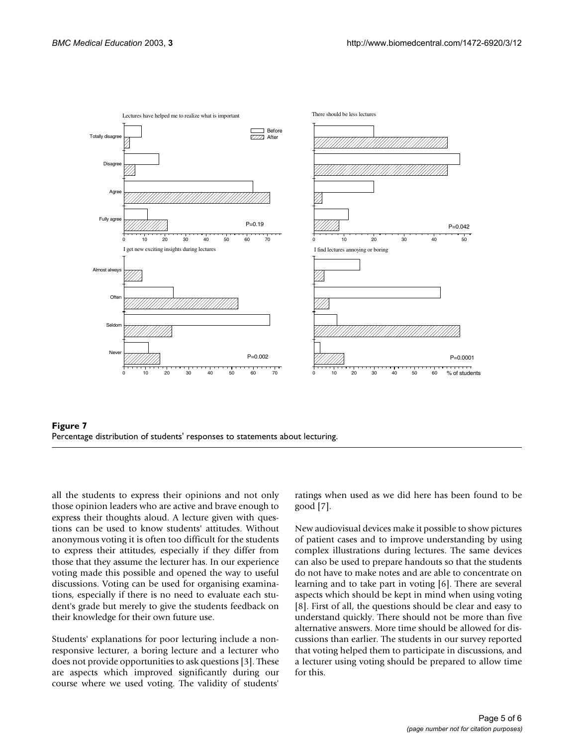



all the students to express their opinions and not only those opinion leaders who are active and brave enough to express their thoughts aloud. A lecture given with questions can be used to know students' attitudes. Without anonymous voting it is often too difficult for the students to express their attitudes, especially if they differ from those that they assume the lecturer has. In our experience voting made this possible and opened the way to useful discussions. Voting can be used for organising examinations, especially if there is no need to evaluate each student's grade but merely to give the students feedback on their knowledge for their own future use.

Students' explanations for poor lecturing include a nonresponsive lecturer, a boring lecture and a lecturer who does not provide opportunities to ask questions [3]. These are aspects which improved significantly during our course where we used voting. The validity of students'

ratings when used as we did here has been found to be good [7].

New audiovisual devices make it possible to show pictures of patient cases and to improve understanding by using complex illustrations during lectures. The same devices can also be used to prepare handouts so that the students do not have to make notes and are able to concentrate on learning and to take part in voting [6]. There are several aspects which should be kept in mind when using voting [8]. First of all, the questions should be clear and easy to understand quickly. There should not be more than five alternative answers. More time should be allowed for discussions than earlier. The students in our survey reported that voting helped them to participate in discussions, and a lecturer using voting should be prepared to allow time for this.